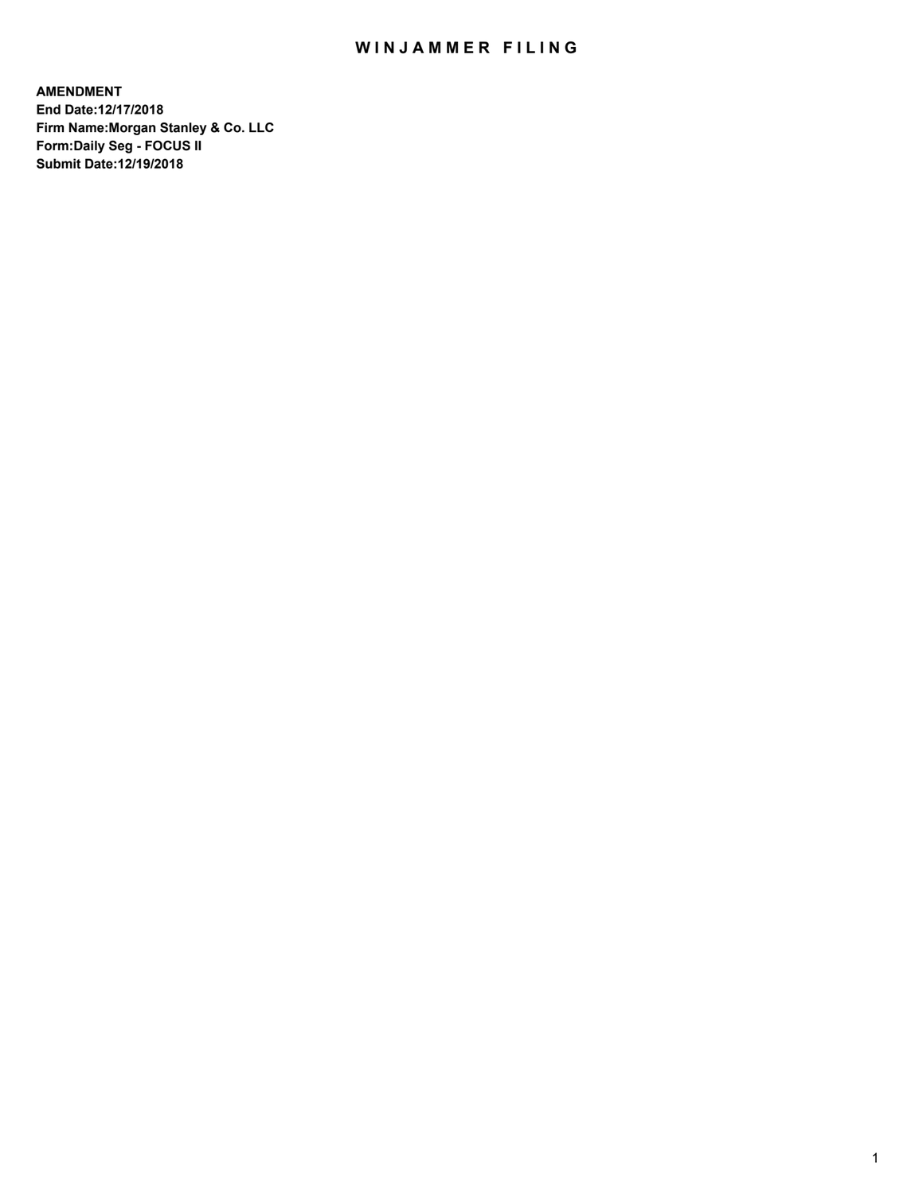## WIN JAMMER FILING

**AMENDMENT End Date:12/17/2018 Firm Name:Morgan Stanley & Co. LLC Form:Daily Seg - FOCUS II Submit Date:12/19/2018**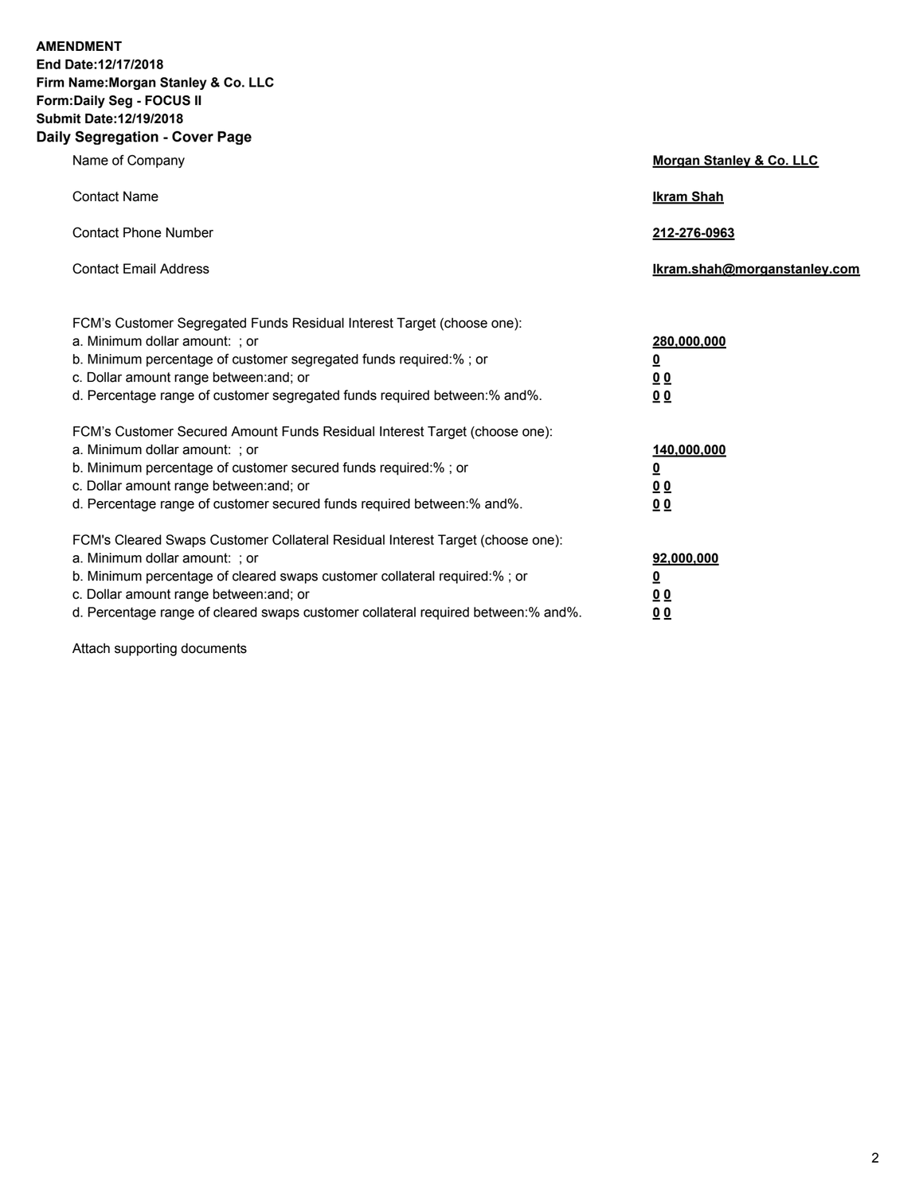**AMENDMENT End Date:12/17/2018 Firm Name:Morgan Stanley & Co. LLC Form:Daily Seg - FOCUS II Submit Date:12/19/2018 Daily Segregation - Cover Page**

| , ocgicgation - oover rage                                                                                                                                                                                                                                                                                                     |                                              |
|--------------------------------------------------------------------------------------------------------------------------------------------------------------------------------------------------------------------------------------------------------------------------------------------------------------------------------|----------------------------------------------|
| Name of Company                                                                                                                                                                                                                                                                                                                | Morgan Stanley & Co. LLC                     |
| <b>Contact Name</b>                                                                                                                                                                                                                                                                                                            | <b>Ikram Shah</b>                            |
| <b>Contact Phone Number</b>                                                                                                                                                                                                                                                                                                    | 212-276-0963                                 |
| <b>Contact Email Address</b>                                                                                                                                                                                                                                                                                                   | Ikram.shah@morganstanley.com                 |
| FCM's Customer Segregated Funds Residual Interest Target (choose one):<br>a. Minimum dollar amount: ; or<br>b. Minimum percentage of customer segregated funds required:%; or<br>c. Dollar amount range between: and; or<br>d. Percentage range of customer segregated funds required between:% and%.                          | 280,000,000<br><u>0</u><br><u>0 0</u><br>0 Q |
| FCM's Customer Secured Amount Funds Residual Interest Target (choose one):<br>a. Minimum dollar amount: ; or<br>b. Minimum percentage of customer secured funds required:%; or<br>c. Dollar amount range between: and; or<br>d. Percentage range of customer secured funds required between:% and%.                            | 140,000,000<br><u>0</u><br><u>00</u><br>0 Q  |
| FCM's Cleared Swaps Customer Collateral Residual Interest Target (choose one):<br>a. Minimum dollar amount: ; or<br>b. Minimum percentage of cleared swaps customer collateral required:% ; or<br>c. Dollar amount range between: and; or<br>d. Percentage range of cleared swaps customer collateral required between:% and%. | 92,000,000<br><u>0</u><br><u>00</u><br>0 Q   |

Attach supporting documents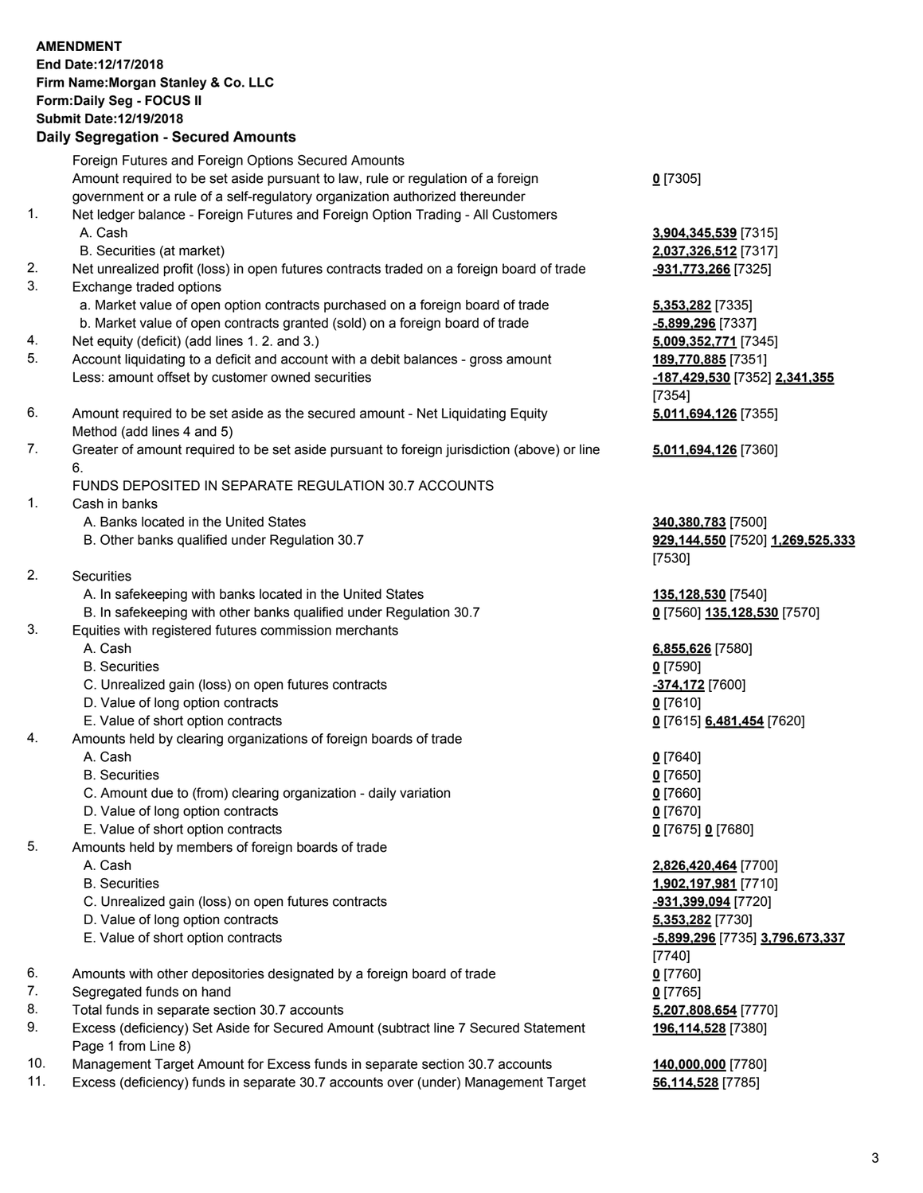## **AMENDMENT End Date:12/17/2018 Firm Name:Morgan Stanley & Co. LLC Form:Daily Seg - FOCUS II Submit Date:12/19/2018 Daily Segregation - Secured Amounts** Foreign Futures and Foreign Options Secured Amounts Amount required to be set aside pursuant to law, rule or regulation of a foreign government or a rule of a self-regulatory organization authorized thereunder **0** [7305] 1. Net ledger balance - Foreign Futures and Foreign Option Trading - All Customers A. Cash **3,904,345,539** [7315] B. Securities (at market) **2,037,326,512** [7317] 2. Net unrealized profit (loss) in open futures contracts traded on a foreign board of trade **-931,773,266** [7325] 3. Exchange traded options a. Market value of open option contracts purchased on a foreign board of trade **5,353,282** [7335] b. Market value of open contracts granted (sold) on a foreign board of trade **-5,899,296** [7337] 4. Net equity (deficit) (add lines 1. 2. and 3.) **5,009,352,771** [7345] 5. Account liquidating to a deficit and account with a debit balances - gross amount **189,770,885** [7351] Less: amount offset by customer owned securities **-187,429,530** [7352] **2,341,355** [7354] 6. Amount required to be set aside as the secured amount - Net Liquidating Equity Method (add lines 4 and 5) 7. Greater of amount required to be set aside pursuant to foreign jurisdiction (above) or line 6. FUNDS DEPOSITED IN SEPARATE REGULATION 30.7 ACCOUNTS 1. Cash in banks A. Banks located in the United States **340,380,783** [7500] B. Other banks qualified under Regulation 30.7 **929,144,550** [7520] **1,269,525,333** [7530] 2. Securities A. In safekeeping with banks located in the United States **135,128,530** [7540] B. In safekeeping with other banks qualified under Regulation 30.7 **0** [7560] **135,128,530** [7570] 3. Equities with registered futures commission merchants A. Cash **6,855,626** [7580]

- 
- B. Securities **0** [7590]
- C. Unrealized gain (loss) on open futures contracts **-374,172** [7600]
- D. Value of long option contracts **0** [7610]
- E. Value of short option contracts **0** [7615] **6,481,454** [7620]
- 4. Amounts held by clearing organizations of foreign boards of trade
	- A. Cash **0** [7640]
	- B. Securities **0** [7650]
	- C. Amount due to (from) clearing organization daily variation **0** [7660]
	- D. Value of long option contracts **0** [7670]
	- E. Value of short option contracts **0** [7675] **0** [7680]
- 5. Amounts held by members of foreign boards of trade
	-
	-
	- C. Unrealized gain (loss) on open futures contracts **-931,399,094** [7720]
	- D. Value of long option contracts **5,353,282** [7730]
	- E. Value of short option contracts **-5,899,296** [7735] **3,796,673,337**
- 6. Amounts with other depositories designated by a foreign board of trade **0** [7760]
- 7. Segregated funds on hand **0** [7765]
- 8. Total funds in separate section 30.7 accounts **5,207,808,654** [7770]
- 9. Excess (deficiency) Set Aside for Secured Amount (subtract line 7 Secured Statement Page 1 from Line 8)
- 10. Management Target Amount for Excess funds in separate section 30.7 accounts **140,000,000** [7780]
- 11. Excess (deficiency) funds in separate 30.7 accounts over (under) Management Target **56,114,528** [7785]

**5,011,694,126** [7355]

**5,011,694,126** [7360]

 A. Cash **2,826,420,464** [7700] B. Securities **1,902,197,981** [7710] [7740] **196,114,528** [7380]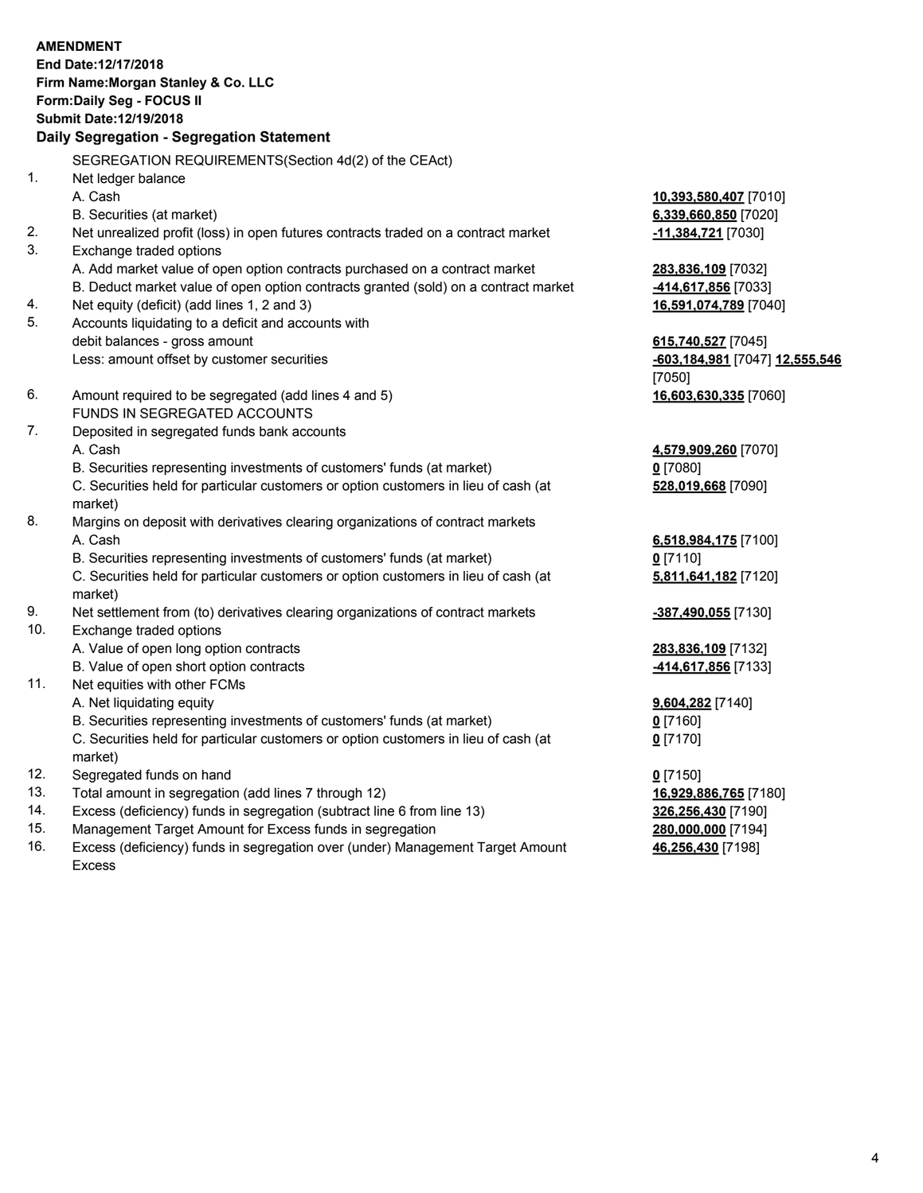## **AMENDMENT End Date:12/17/2018 Firm Name:Morgan Stanley & Co. LLC Form:Daily Seg - FOCUS II Submit Date:12/19/2018 Daily Segregation - Segregation Statement** SEGREGATION REQUIREMENTS(Section 4d(2) of the CEAct) 1. Net ledger balance A. Cash **10,393,580,407** [7010] B. Securities (at market) **6,339,660,850** [7020] 2. Net unrealized profit (loss) in open futures contracts traded on a contract market **-11,384,721** [7030] 3. Exchange traded options A. Add market value of open option contracts purchased on a contract market **283,836,109** [7032] B. Deduct market value of open option contracts granted (sold) on a contract market **-414,617,856** [7033] 4. Net equity (deficit) (add lines 1, 2 and 3) **16,591,074,789** [7040] 5. Accounts liquidating to a deficit and accounts with debit balances - gross amount **615,740,527** [7045] Less: amount offset by customer securities **-603,184,981** [7047] **12,555,546** [7050] 6. Amount required to be segregated (add lines 4 and 5) **16,603,630,335** [7060] FUNDS IN SEGREGATED ACCOUNTS 7. Deposited in segregated funds bank accounts A. Cash **4,579,909,260** [7070] B. Securities representing investments of customers' funds (at market) **0** [7080] C. Securities held for particular customers or option customers in lieu of cash (at market) **528,019,668** [7090] 8. Margins on deposit with derivatives clearing organizations of contract markets A. Cash **6,518,984,175** [7100] B. Securities representing investments of customers' funds (at market) **0** [7110] C. Securities held for particular customers or option customers in lieu of cash (at market) **5,811,641,182** [7120] 9. Net settlement from (to) derivatives clearing organizations of contract markets **-387,490,055** [7130] 10. Exchange traded options A. Value of open long option contracts **283,836,109** [7132] B. Value of open short option contracts **-414,617,856** [7133] 11. Net equities with other FCMs A. Net liquidating equity **9,604,282** [7140] B. Securities representing investments of customers' funds (at market) **0** [7160] C. Securities held for particular customers or option customers in lieu of cash (at market) **0** [7170] 12. Segregated funds on hand **0** [7150]

- 
- 13. Total amount in segregation (add lines 7 through 12) **16,929,886,765** [7180]
- 14. Excess (deficiency) funds in segregation (subtract line 6 from line 13) **326,256,430** [7190]
- 15. Management Target Amount for Excess funds in segregation **280,000,000** [7194]
- 16. Excess (deficiency) funds in segregation over (under) Management Target Amount Excess

**46,256,430** [7198]